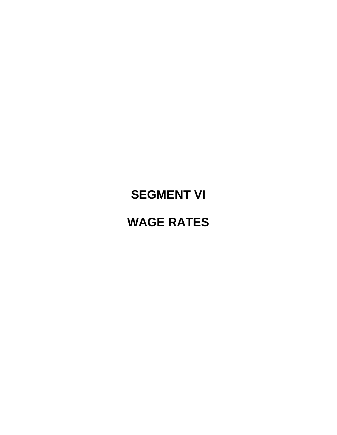# **SEGMENT VI**

## **WAGE RATES**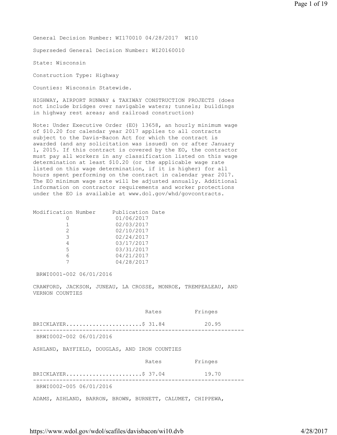General Decision Number: WI170010 04/28/2017 WI10

Superseded General Decision Number: WI20160010

State: Wisconsin

Construction Type: Highway

Counties: Wisconsin Statewide.

HIGHWAY, AIRPORT RUNWAY & TAXIWAY CONSTRUCTION PROJECTS (does not include bridges over navigable waters; tunnels; buildings in highway rest areas; and railroad construction)

Note: Under Executive Order (EO) 13658, an hourly minimum wage of \$10.20 for calendar year 2017 applies to all contracts subject to the Davis-Bacon Act for which the contract is awarded (and any solicitation was issued) on or after January 1, 2015. If this contract is covered by the EO, the contractor must pay all workers in any classification listed on this wage determination at least \$10.20 (or the applicable wage rate listed on this wage determination, if it is higher) for all hours spent performing on the contract in calendar year 2017. The EO minimum wage rate will be adjusted annually. Additional information on contractor requirements and worker protections under the EO is available at www.dol.gov/whd/govcontracts.

| Modification Number | Publication Date |
|---------------------|------------------|
|                     | 01/06/2017       |
|                     | 02/03/2017       |
| 2                   | 02/10/2017       |
| 3                   | 02/24/2017       |
| 4                   | 03/17/2017       |
| 5.                  | 03/31/2017       |
| 6                   | 04/21/2017       |
|                     | 04/28/2017       |

BRWI0001-002 06/01/2016

CRAWFORD, JACKSON, JUNEAU, LA CROSSE, MONROE, TREMPEALEAU, AND VERNON COUNTIES

 Rates Fringes BRICKLAYER.......................\$ 31.84 20.95 ---------------------------------------------------------------- BRWI0002-002 06/01/2016 ASHLAND, BAYFIELD, DOUGLAS, AND IRON COUNTIES Rates Fringes BRICKLAYER..........................\$ 37.04 19.70 ---------------------------------------------------------------- BRWI0002-005 06/01/2016 ADAMS, ASHLAND, BARRON, BROWN, BURNETT, CALUMET, CHIPPEWA,

https://www.wdol.gov/wdol/scafiles/davisbacon/wi10.dvb 4/28/2017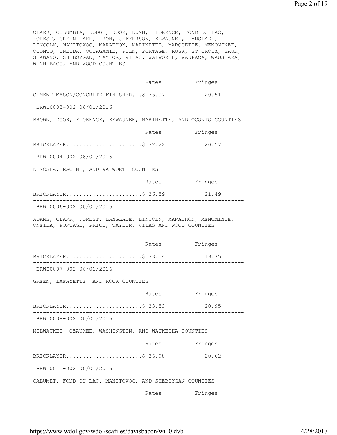CLARK, COLUMBIA, DODGE, DOOR, DUNN, FLORENCE, FOND DU LAC, FOREST, GREEN LAKE, IRON, JEFFERSON, KEWAUNEE, LANGLADE, LINCOLN, MANITOWOC, MARATHON, MARINETTE, MARQUETTE, MENOMINEE, OCONTO, ONEIDA, OUTAGAMIE, POLK, PORTAGE, RUSK, ST CROIX, SAUK, SHAWANO, SHEBOYGAN, TAYLOR, VILAS, WALWORTH, WAUPACA, WAUSHARA, WINNEBAGO, AND WOOD COUNTIES

 Rates Fringes CEMENT MASON/CONCRETE FINISHER...\$ 35.07 20.51 ---------------------------------------------------------------- BRWI0003-002 06/01/2016 BROWN, DOOR, FLORENCE, KEWAUNEE, MARINETTE, AND OCONTO COUNTIES Rates Fringes BRICKLAYER..........................\$ 32.22 20.57 ---------------------------------------------------------------- BRWI0004-002 06/01/2016 KENOSHA, RACINE, AND WALWORTH COUNTIES Rates Fringes BRICKLAYER...........................\$ 36.59 21.49 ---------------------------------------------------------------- BRWI0006-002 06/01/2016 ADAMS, CLARK, FOREST, LANGLADE, LINCOLN, MARATHON, MENOMINEE, ONEIDA, PORTAGE, PRICE, TAYLOR, VILAS AND WOOD COUNTIES Rates Fringes BRICKLAYER..............................\$ 33.04 19.75 ---------------------------------------------------------------- BRWI0007-002 06/01/2016 GREEN, LAFAYETTE, AND ROCK COUNTIES Rates Fringes BRICKLAYER.......................\$ 33.53 20.95 ---------------------------------------------------------------- BRWI0008-002 06/01/2016 MILWAUKEE, OZAUKEE, WASHINGTON, AND WAUKESHA COUNTIES Rates Fringes BRICKLAYER.........................\$ 36.98 20.62 ---------------------------------------------------------------- BRWI0011-002 06/01/2016 CALUMET, FOND DU LAC, MANITOWOC, AND SHEBOYGAN COUNTIES Rates Fringes

https://www.wdol.gov/wdol/scafiles/davisbacon/wi10.dvb 4/28/2017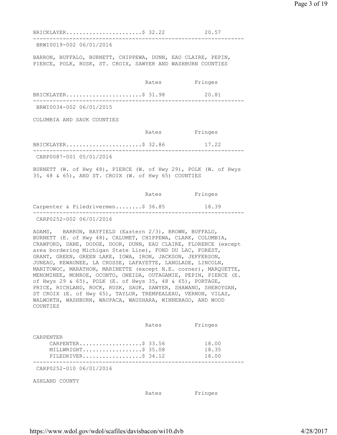BRICKLAYER..........................\$ 32.22 20.57 ---------------------------------------------------------------- BRWI0019-002 06/01/2016 BARRON, BUFFALO, BURNETT, CHIPPEWA, DUNN, EAU CLAIRE, PEPIN, PIERCE, POLK, RUSK, ST. CROIX, SAWYER AND WASHBURN COUNTIES Rates Fringes BRICKLAYER.......................\$ 31.98 20.81 ---------------------------------------------------------------- BRWI0034-002 06/01/2015 COLUMBIA AND SAUK COUNTIES Rates Fringes BRICKLAYER............................\$ 32.86 17.22 ---------------------------------------------------------------- CARP0087-001 05/01/2016 BURNETT (W. of Hwy 48), PIERCE (W. of Hwy 29), POLK (W. of Hwys 35, 48 & 65), AND ST. CROIX (W. of Hwy 65) COUNTIES Rates Fringes

Carpenter & Piledrivermen........\$ 36.85 18.39 ---------------------------------------------------------------- CARP0252-002 06/01/2016

ADAMS, BARRON, BAYFIELD (Eastern 2/3), BROWN, BUFFALO, BURNETT (E. of Hwy 48), CALUMET, CHIPPEWA, CLARK, COLUMBIA, CRAWFORD, DANE, DODGE, DOOR, DUNN, EAU CLAIRE, FLORENCE (except area bordering Michigan State Line), FOND DU LAC, FOREST, GRANT, GREEN, GREEN LAKE, IOWA, IRON, JACKSON, JEFFERSON, JUNEAU, KEWAUNEE, LA CROSSE, LAFAYETTE, LANGLADE, LINCOLN, MANITOWOC, MARATHON, MARINETTE (except N.E. corner), MARQUETTE, MENOMINEE, MONROE, OCONTO, ONEIDA, OUTAGAMIE, PEPIN, PIERCE (E. of Hwys 29 & 65), POLK (E. of Hwys 35, 48 & 65), PORTAGE, PRICE, RICHLAND, ROCK, RUSK, SAUK, SAWYER, SHAWANO, SHEBOYGAN, ST CROIX (E. of Hwy 65), TAYLOR, TREMPEALEAU, VERNON, VILAS, WALWORTH, WASHBURN, WAUPACA, WAUSHARA, WINNEBAGO, AND WOOD COUNTIES

|                                                                            | Rates | Fringes                 |
|----------------------------------------------------------------------------|-------|-------------------------|
| CARPENTER<br>CARPENTER\$ 33.56<br>MILLWRIGHT\$ 35.08<br>PILEDRIVER\$ 34.12 |       | 18.00<br>18.35<br>18.00 |
| CARP0252-010 06/01/2016                                                    |       |                         |
| ASHLAND COUNTY                                                             |       |                         |
|                                                                            | Rates | Fringes                 |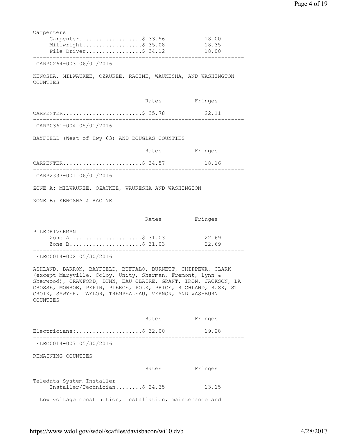| Carpenters                                                                                                                                                                                                                                                                                                                             |               |                  |
|----------------------------------------------------------------------------------------------------------------------------------------------------------------------------------------------------------------------------------------------------------------------------------------------------------------------------------------|---------------|------------------|
| $Carpenter$ \$ 33.56                                                                                                                                                                                                                                                                                                                   |               | 18.00            |
| Millwright\$ 35.08<br>Pile Driver\$ 34.12                                                                                                                                                                                                                                                                                              |               | 18.35<br>18.00   |
| CARP0264-003 06/01/2016                                                                                                                                                                                                                                                                                                                |               |                  |
|                                                                                                                                                                                                                                                                                                                                        |               |                  |
| KENOSHA, MILWAUKEE, OZAUKEE, RACINE, WAUKESHA, AND WASHINGTON<br>COUNTIES                                                                                                                                                                                                                                                              |               |                  |
|                                                                                                                                                                                                                                                                                                                                        | Rates Fringes |                  |
| CARPENTER\$ 35.78 22.11<br>---------------------------                                                                                                                                                                                                                                                                                 |               |                  |
| CARP0361-004 05/01/2016                                                                                                                                                                                                                                                                                                                |               |                  |
| BAYFIELD (West of Hwy 63) AND DOUGLAS COUNTIES                                                                                                                                                                                                                                                                                         |               |                  |
|                                                                                                                                                                                                                                                                                                                                        | Rates Fringes |                  |
| CARPENTER\$ 34.57                                                                                                                                                                                                                                                                                                                      |               | 18.16            |
| ----------------------------<br>CARP2337-001 06/01/2016                                                                                                                                                                                                                                                                                |               |                  |
| ZONE A: MILWAUKEE, OZAUKEE, WAUKESHA AND WASHINGTON                                                                                                                                                                                                                                                                                    |               |                  |
| ZONE B: KENOSHA & RACINE                                                                                                                                                                                                                                                                                                               |               |                  |
|                                                                                                                                                                                                                                                                                                                                        |               |                  |
|                                                                                                                                                                                                                                                                                                                                        | Rates Fringes |                  |
| PILEDRIVERMAN<br>Zone A\$ 31.03 22.69<br>Zone B\$ 31.03                                                                                                                                                                                                                                                                                |               | 22.69            |
| ELEC0014-002 05/30/2016                                                                                                                                                                                                                                                                                                                |               | ---------------- |
| ASHLAND, BARRON, BAYFIELD, BUFFALO, BURNETT, CHIPPEWA, CLARK<br>(except Maryville, Colby, Unity, Sherman, Fremont, Lynn &<br>Sherwood), CRAWFORD, DUNN, EAU CLAIRE, GRANT, IRON, JACKSON, LA<br>CROSSE, MONROE, PEPIN, PIERCE, POLK, PRICE, RICHLAND, RUSK, ST<br>CROIX, SAWYER, TAYLOR, TREMPEALEAU, VERNON, AND WASHBURN<br>COUNTIES |               |                  |
|                                                                                                                                                                                                                                                                                                                                        | Rates         | Fringes          |
| Electricians:\$ 32.00                                                                                                                                                                                                                                                                                                                  |               |                  |
|                                                                                                                                                                                                                                                                                                                                        |               | 19.28            |
| ELEC0014-007 05/30/2016                                                                                                                                                                                                                                                                                                                |               | ---------------- |
| REMAINING COUNTIES                                                                                                                                                                                                                                                                                                                     |               |                  |
|                                                                                                                                                                                                                                                                                                                                        | Rates         | Fringes          |
| Teledata System Installer<br>Installer/Technician\$ 24.35                                                                                                                                                                                                                                                                              |               | 13.15            |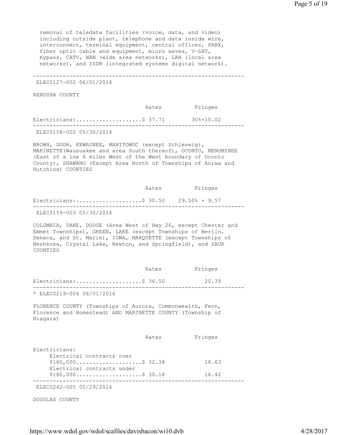removal of teledata facilities (voice, data, and video) including outside plant, telephone and data inside wire, interconnect, terminal equipment, central offices, PABX, fiber optic cable and equipment, micro waves, V-SAT, bypass, CATV, WAN (wide area networks), LAN (local area networks), and ISDN (integrated systems digital network).

----------------------------------------------------------------

ELEC0127-002 06/01/2016

KENOSHA COUNTY

 Rates Fringes Electricians:.......................\$ 37.71 30%+10.02 ---------------------------------------------------------------- ELEC0158-002 05/30/2016

BROWN, DOOR, KEWAUNEE, MANITOWOC (except Schleswig), MARINETTE(Wausuakee and area South thereof), OCONTO, MENOMINEE (East of a ine 6 miles West of the West boundary of Oconto County), SHAWANO (Except Area North of Townships of Aniwa and Hutchins) COUNTIES

 Rates Fringes Electricians:.....................\$ 30.50 29.50% + 9.57 ---------------------------------------------------------------- ELEC0159-003 05/30/2016

COLUMBIA, DANE, DODGE (Area West of Hwy 26, except Chester and Emmet Townships), GREEN, LAKE (except Townships of Berlin, Seneca, and St. Marie), IOWA, MARQUETTE (except Townships of Neshkoka, Crystal Lake, Newton, and Springfield), and SAUK COUNTIES

|                           | Rates | Fringes |
|---------------------------|-------|---------|
| Electricians:\$ 36.50     |       | 20.39   |
| * ELEC0219-004 06/01/2016 |       |         |

FLORENCE COUNTY (Townships of Aurora, Commonwealth, Fern, Florence and Homestead) AND MARINETTE COUNTY (Township of Niagara)

|                            | Rates | Fringes |  |
|----------------------------|-------|---------|--|
| Electricians:              |       |         |  |
| Electrical contracts over  |       |         |  |
| $$180,000$ \$ 32.38        |       | 18.63   |  |
| Electrical contracts under |       |         |  |
| $$180,000$ \$ 30.18        |       | 18.42   |  |
|                            |       |         |  |
| ELEC0242-005 05/29/2016    |       |         |  |

DOUGLAS COUNTY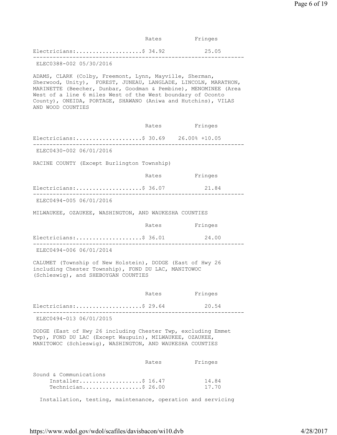|                                                                                                                                                                                                                                                                                                                                                  | Rates         | Fringes        |
|--------------------------------------------------------------------------------------------------------------------------------------------------------------------------------------------------------------------------------------------------------------------------------------------------------------------------------------------------|---------------|----------------|
| Electricians:\$ 34.92<br>___________________                                                                                                                                                                                                                                                                                                     |               | 25.05          |
| ELEC0388-002 05/30/2016                                                                                                                                                                                                                                                                                                                          |               |                |
| ADAMS, CLARK (Colby, Freemont, Lynn, Mayville, Sherman,<br>Sherwood, Unity), FOREST, JUNEAU, LANGLADE, LINCOLN, MARATHON,<br>MARINETTE (Beecher, Dunbar, Goodman & Pembine), MENOMINEE (Area<br>West of a line 6 miles West of the West boundary of Oconto<br>County), ONEIDA, PORTAGE, SHAWANO (Aniwa and Hutchins), VILAS<br>AND WOOD COUNTIES |               |                |
|                                                                                                                                                                                                                                                                                                                                                  | Rates         | Fringes        |
| Electricians:\$ 30.69 26.00% +10.05                                                                                                                                                                                                                                                                                                              |               |                |
| ELEC0430-002 06/01/2016                                                                                                                                                                                                                                                                                                                          |               |                |
| RACINE COUNTY (Except Burlington Township)                                                                                                                                                                                                                                                                                                       |               |                |
|                                                                                                                                                                                                                                                                                                                                                  | Rates Fringes |                |
| Electricians:\$ 36.07                                                                                                                                                                                                                                                                                                                            |               | 21.84          |
| ELEC0494-005 06/01/2016                                                                                                                                                                                                                                                                                                                          |               |                |
| MILWAUKEE, OZAUKEE, WASHINGTON, AND WAUKESHA COUNTIES                                                                                                                                                                                                                                                                                            |               |                |
|                                                                                                                                                                                                                                                                                                                                                  | Rates Fringes |                |
| Electricians:\$ 36.01                                                                                                                                                                                                                                                                                                                            |               | 24.00          |
| ELEC0494-006 06/01/2014                                                                                                                                                                                                                                                                                                                          |               |                |
| CALUMET (Township of New Holstein), DODGE (East of Hwy 26<br>including Chester Township), FOND DU LAC, MANITOWOC<br>(Schleswig), and SHEBOYGAN COUNTIES                                                                                                                                                                                          |               |                |
|                                                                                                                                                                                                                                                                                                                                                  | Rates         | Fringes        |
| Electricians:\$ 29.64                                                                                                                                                                                                                                                                                                                            |               | 20.54          |
| ELEC0494-013 06/01/2015                                                                                                                                                                                                                                                                                                                          |               |                |
| DODGE (East of Hwy 26 including Chester Twp, excluding Emmet<br>Twp), FOND DU LAC (Except Waupuin), MILWAUKEE, OZAUKEE,<br>MANITOWOC (Schleswig), WASHINGTON, AND WAUKESHA COUNTIES                                                                                                                                                              |               |                |
|                                                                                                                                                                                                                                                                                                                                                  | Rates         | Fringes        |
| Sound & Communications<br>Installer\$ 16.47<br>Technician\$ 26.00                                                                                                                                                                                                                                                                                |               | 14.84<br>17.70 |

Installation, testing, maintenance, operation and servicing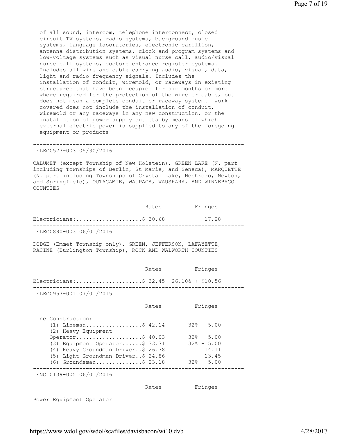of all sound, intercom, telephone interconnect, closed circuit TV systems, radio systems, background music systems, language laboratories, electronic carillion, antenna distribution systems, clock and program systems and low-voltage systems such as visual nurse call, audio/visual nurse call systems, doctors entrance register systems. Includes all wire and cable carrying audio, visual, data, light and radio frequency signals. Includes the installation of conduit, wiremold, or raceways in existing structures that have been occupied for six months or more where required for the protection of the wire or cable, but does not mean a complete conduit or raceway system. work covered does not include the installation of conduit, wiremold or any raceways in any new construction, or the installation of power supply outlets by means of which external electric power is supplied to any of the foregoing equipment or products

## ELEC0577-003 05/30/2016

CALUMET (except Township of New Holstein), GREEN LAKE (N. part including Townships of Berlin, St Marie, and Seneca), MARQUETTE (N. part including Townships of Crystal Lake, Neshkoro, Newton, and Springfield), OUTAGAMIE, WAUPACA, WAUSHARA, AND WINNEBAGO COUNTIES

----------------------------------------------------------------

|                         | Rates | Fringes |  |
|-------------------------|-------|---------|--|
| Electricians:\$ 30.68   |       | 17.28   |  |
| ELEC0890-003 06/01/2016 |       |         |  |

DODGE (Emmet Township only), GREEN, JEFFERSON, LAFAYETTE, RACINE (Burlington Township), ROCK AND WALWORTH COUNTIES

|                                                                                                                                                                                                                                                               | Rates | Fringes                                                                            |
|---------------------------------------------------------------------------------------------------------------------------------------------------------------------------------------------------------------------------------------------------------------|-------|------------------------------------------------------------------------------------|
| Electricians:\$ 32.45    26.10% + \$10.56                                                                                                                                                                                                                     |       |                                                                                    |
| ELEC0953-001 07/01/2015                                                                                                                                                                                                                                       |       |                                                                                    |
|                                                                                                                                                                                                                                                               | Rates | Fringes                                                                            |
| Line Construction:<br>(1) Lineman\$ 42.14<br>(2) Heavy Equipment<br>Operator\$ $40.03$<br>$(3)$ Equipment Operator\$ 33.71<br>(4) Heavy Groundman Driver\$ 26.78<br>(5) Light Groundman Driver\$ 24.86<br>$(6)$ Groundsman\$ 23.18<br>ENGI0139-005 06/01/2016 |       | $32\% + 5.00$<br>$32\% + 5.00$<br>$32\% + 5.00$<br>14.11<br>13.45<br>$32\% + 5.00$ |
|                                                                                                                                                                                                                                                               | Rates | Fringes                                                                            |

Power Equipment Operator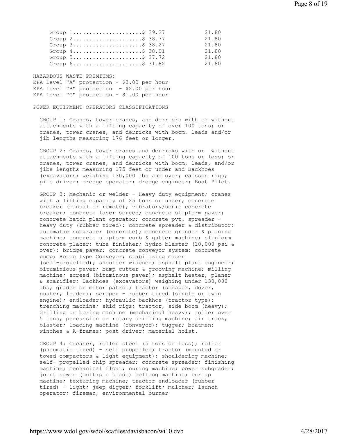| Page 8 of 19 |  |  |  |
|--------------|--|--|--|
|--------------|--|--|--|

| Group $1, \ldots, \ldots, \ldots, \ldots, \$ 39.27                 | 21.80 |
|--------------------------------------------------------------------|-------|
| Group $2 \ldots \ldots \ldots \ldots \ldots \ldots$ . \$ 38.77     | 21.80 |
| Group $3 \ldots \ldots \ldots \ldots \ldots \ldots$ . \$ 38.27     | 21.80 |
| Group $4 \ldots \ldots \ldots \ldots \ldots \ldots$ . \$ 38.01     | 21.80 |
| Group $5 \ldots \ldots \ldots \ldots \ldots \ldots \text{.} 37.72$ | 21.80 |
| Group $6 \ldots \ldots \ldots \ldots \ldots \ldots$ . \$ 31.82     | 21.80 |

HAZARDOUS WASTE PREMIUMS: EPA Level "A" protection - \$3.00 per hour EPA Level "B" protection - \$2.00 per hour EPA Level "C" protection - \$1.00 per hour

## POWER EQUIPMENT OPERATORS CLASSIFICATIONS

 GROUP 1: Cranes, tower cranes, and derricks with or without attachments with a lifting capacity of over 100 tons; or cranes, tower cranes, and derricks with boom, leads and/or jib lengths measuring 176 feet or longer.

 GROUP 2: Cranes, tower cranes and derricks with or without attachments with a lifting capacity of 100 tons or less; or cranes, tower cranes, and derricks with boom, leads, and/or jibs lengths measuring 175 feet or under and Backhoes (excavators) weighing 130,000 lbs and over; caisson rigs; pile driver; dredge operator; dredge engineer; Boat Pilot.

GROUP 3: Mechanic or welder - Heavy duty equipment; cranes with a lifting capacity of 25 tons or under; concrete breaker (manual or remote); vibratory/sonic concrete breaker; concrete laser screed; concrete slipform paver; concrete batch plant operator; concrete pvt. spreader heavy duty (rubber tired); concrete spreader & distributor; automatic subgrader (concrete); concrete grinder & planing machine; concrete slipform curb & gutter machine; slipform concrete placer; tube finisher; hydro blaster (10,000 psi & over); bridge paver; concrete conveyor system; concrete pump; Rotec type Conveyor; stabilizing mixer (self-propelled); shoulder widener; asphalt plant engineer; bituminious paver; bump cutter & grooving machine; milling machine; screed (bituminous paver); asphalt heater, planer & scarifier; Backhoes (excavators) weighing under 130,000 lbs; grader or motor patrol; tractor (scraper, dozer, pusher, loader); scraper - rubber tired (single or twin engine); endloader; hydraulic backhoe (tractor type); trenching machine; skid rigs; tractor, side boom (heavy); drilling or boring machine (mechanical heavy); roller over 5 tons; percussion or rotary drilling machine; air track; blaster; loading machine (conveyor); tugger; boatmen; winches & A-frames; post driver; material hoist.

 GROUP 4: Greaser, roller steel (5 tons or less); roller (pneumatic tired) - self propelled; tractor (mounted or towed compactors & light equipment); shouldering machine; self- propelled chip spreader; concrete spreader; finishing machine; mechanical float; curing machine; power subgrader; joint sawer (multiple blade) belting machine; burlap machine; texturing machine; tractor endloader (rubber tired) - light; jeep digger; forklift; mulcher; launch operator; fireman, environmental burner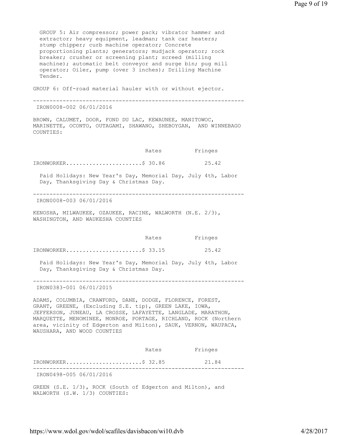GROUP 5: Air compressor; power pack; vibrator hammer and extractor; heavy equipment, leadman; tank car heaters; stump chipper; curb machine operator; Concrete proportioning plants; generators; mudjack operator; rock breaker; crusher or screening plant; screed (milling machine); automatic belt conveyor and surge bin; pug mill operator; Oiler, pump (over 3 inches); Drilling Machine Tender.

GROUP 6: Off-road material hauler with or without ejector.

---------------------------------------------------------------- IRON0008-002 06/01/2016

BROWN, CALUMET, DOOR, FOND DU LAC, KEWAUNEE, MANITOWOC, MARINETTE, OCONTO, OUTAGAMI, SHAWANO, SHEBOYGAN, AND WINNEBAGO COUNTIES:

Rates Fringes

IRONWORKER..........................\$ 30.86 25.42

 Paid Holidays: New Year's Day, Memorial Day, July 4th, Labor Day, Thanksgiving Day & Christmas Day.

----------------------------------------------------------------

IRON0008-003 06/01/2016

KENOSHA, MILWAUKEE, OZAUKEE, RACINE, WALWORTH (N.E. 2/3), WASHINGTON, AND WAUKESHA COUNTIES

|                        | Rates | Fringes |
|------------------------|-------|---------|
| $IRONWORKER.$ \$ 33.15 |       | 25.42   |
|                        |       |         |

 Paid Holidays: New Year's Day, Memorial Day, July 4th, Labor Day, Thanksgiving Day & Christmas Day.

---------------------------------------------------------------- IRON0383-001 06/01/2015

ADAMS, COLUMBIA, CRAWFORD, DANE, DODGE, FLORENCE, FOREST, GRANT, GREENE, (Excluding S.E. tip), GREEN LAKE, IOWA, JEFFERSON, JUNEAU, LA CROSSE, LAFAYETTE, LANGLADE, MARATHON, MARQUETTE, MENOMINEE, MONROE, PORTAGE, RICHLAND, ROCK (Northern area, vicinity of Edgerton and Milton), SAUK, VERNON, WAUPACA, WAUSHARA, AND WOOD COUNTIES

 Rates Fringes IRONWORKER.......................\$ 32.85 21.84 ---------------------------------------------------------------- IRON0498-005 06/01/2016

GREEN (S.E. 1/3), ROCK (South of Edgerton and Milton), and WALWORTH (S.W. 1/3) COUNTIES: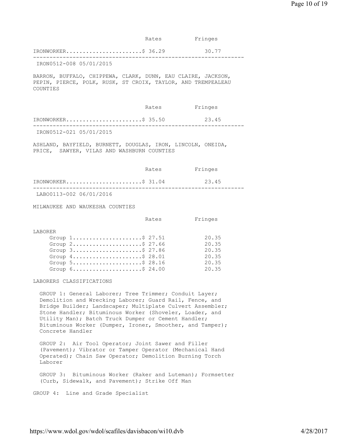|                                                                                                                                                                                                                                                                                                                                                                                   | Rates | Fringes                                            |
|-----------------------------------------------------------------------------------------------------------------------------------------------------------------------------------------------------------------------------------------------------------------------------------------------------------------------------------------------------------------------------------|-------|----------------------------------------------------|
| $IRONWORKER$ \$ 36.29                                                                                                                                                                                                                                                                                                                                                             |       | 30.77                                              |
| IRON0512-008 05/01/2015                                                                                                                                                                                                                                                                                                                                                           |       |                                                    |
| BARRON, BUFFALO, CHIPPEWA, CLARK, DUNN, EAU CLAIRE, JACKSON,<br>PEPIN, PIERCE, POLK, RUSK, ST CROIX, TAYLOR, AND TREMPEALEAU<br>COUNTIES                                                                                                                                                                                                                                          |       |                                                    |
|                                                                                                                                                                                                                                                                                                                                                                                   | Rates | Fringes                                            |
| $IRONWORKER.$ \$ 35.50                                                                                                                                                                                                                                                                                                                                                            |       | 23.45<br>. _ _ _ _ _ _ _ _ _ _ _ _ .               |
| IRON0512-021 05/01/2015                                                                                                                                                                                                                                                                                                                                                           |       |                                                    |
| ASHLAND, BAYFIELD, BURNETT, DOUGLAS, IRON, LINCOLN, ONEIDA,<br>PRICE, SAWYER, VILAS AND WASHBURN COUNTIES                                                                                                                                                                                                                                                                         |       |                                                    |
|                                                                                                                                                                                                                                                                                                                                                                                   | Rates | Fringes                                            |
| IRONWORKER\$ 31.04                                                                                                                                                                                                                                                                                                                                                                |       | 23.45                                              |
| LAB00113-002 06/01/2016                                                                                                                                                                                                                                                                                                                                                           |       |                                                    |
| MILWAUKEE AND WAUKESHA COUNTIES                                                                                                                                                                                                                                                                                                                                                   |       |                                                    |
|                                                                                                                                                                                                                                                                                                                                                                                   | Rates | Fringes                                            |
| LABORER<br>Group $1$ \$ 27.51<br>Group $2$ \$ 27.66<br>Group 3\$ 27.86<br>Group $4 \ldots \ldots \ldots \ldots \ldots \ldots$ . \$ 28.01<br>Group $5 \ldots \ldots \ldots \ldots \ldots \ldots$ . \$ 28.16<br>Group 6\$ 24.00<br>LABORERS CLASSIFICATIONS                                                                                                                         |       | 20.35<br>20.35<br>20.35<br>20.35<br>20.35<br>20.35 |
| GROUP 1: General Laborer; Tree Trimmer; Conduit Layer;<br>Demolition and Wrecking Laborer; Guard Rail, Fence, and<br>Bridge Builder; Landscaper; Multiplate Culvert Assembler;<br>Stone Handler; Bituminous Worker (Shoveler, Loader, and<br>Utility Man); Batch Truck Dumper or Cement Handler;<br>Bituminous Worker (Dumper, Ironer, Smoother, and Tamper);<br>Concrete Handler |       |                                                    |
| GROUP 2: Air Tool Operator; Joint Sawer and Filler<br>(Pavement); Vibrator or Tamper Operator (Mechanical Hand<br>Operated); Chain Saw Operator; Demolition Burning Torch<br>Laborer                                                                                                                                                                                              |       |                                                    |
| GROUP 3: Bituminous Worker (Raker and Luteman); Formsetter<br>(Curb, Sidewalk, and Pavement); Strike Off Man                                                                                                                                                                                                                                                                      |       |                                                    |
|                                                                                                                                                                                                                                                                                                                                                                                   |       |                                                    |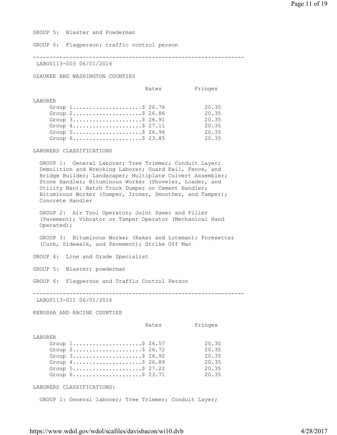GROUP 5: Blaster and Powderman

GROUP 6: Flagperson; traffic control person

----------------------------------------------------------------

LABO0113-003 06/01/2016

OZAUKEE AND WASHINGTON COUNTIES

Rates Fringes

| Group $1, \ldots, \ldots, \ldots, \ldots, \$ 26.76             | 20.35 |
|----------------------------------------------------------------|-------|
| Group $2 \ldots \ldots \ldots \ldots \ldots \ldots$ . \$ 26.86 | 20.35 |
| Group $3$ $26.91$                                              | 20.35 |
| Group $4 \ldots \ldots \ldots \ldots \ldots \ldots$ . \$ 27.11 | 20.35 |
| Group $5 \ldots \ldots \ldots \ldots \ldots \ldots$ . \$ 26.96 | 20.35 |
| Group $6 \ldots \ldots \ldots \ldots \ldots \ldots$ . \$ 23.85 | 20.35 |

## LABORERS CLASSIFICATIONS

 GROUP 1: General Laborer; Tree Trimmer; Conduit Layer; Demolition and Wrecking Laborer; Guard Rail, Fence, and Bridge Builder; Landscaper; Multiplate Culvert Assembler; Stone Handler; Bituminous Worker (Shoveler, Loader, and Utility Man); Batch Truck Dumper or Cement Handler; Bituminous Worker (Dumper, Ironer, Smoother, and Tamper); Concrete Handler

 GROUP 2: Air Tool Operator; Joint Sawer and Filler (Pavement); Vibrator or Tamper Operator (Mechanical Hand Operated);

 GROUP 3: Bituminous Worker (Raker and Luteman); Formsetter (Curb, Sidewalk, and Pavement); Strike Off Man

GROUP 4: Line and Grade Specialist

GROUP 5: Blaster; powderman

GROUP 6: Flagperson and Traffic Control Person

----------------------------------------------------------------

LABO0113-011 06/01/2016

KENOSHA AND RACINE COUNTIES

 Rates Fringes LABORER Group 1........................\$ 26.57 20.35 Group 2.......................\$ 26.72 20.35<br>Group 3......................\$ 26.92 20.35 Group 3........................\$ 26.92 20.35<br>Group 4......................\$ 26.89 20.35 Group 4.....................\$ 26.89 Group 5........................\$ 27.22 20.35 Group 6.......................\$ 23.71 20.35

LABORERS CLASSIFICATIONS:

GROUP 1: General laborer; Tree Trimmer; Conduit Layer;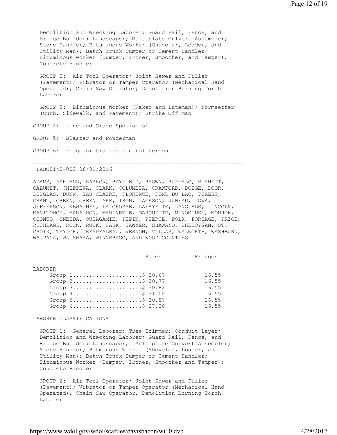Demolition and Wrecking Laborer; Guard Rail, Fence, and Bridge Builder; Landscaper; Multiplate Culvert Assembler; Stone Handler; Bituminous Worker (Shoveler, Loader, and Utility Man); Batch Truck Dumper or Cement Handler; Bituminous worker (Dumper, Ironer, Smoother, and Tamper); Concrete Handler

 GROUP 2: Air Tool Operator; Joint Sawer and Filler (Pavement); Vibrator or Tamper Operator (Mechanical Hand Operated); Chain Saw Operator; Demolition Burning Torch Laborer

 GROUP 3: Bituminous Worker (Raker and Luteman); Formsetter (Curb, Sidewalk, and Pavement); Strike Off Man

GROUP 4: Line and Grade Specialist

GROUP 5: Blaster and Powderman

GROUP 6: Flagman; traffic control person

---------------------------------------------------------------- LABO0140-002 06/01/2016

ADAMS, ASHLAND, BARRON, BAYFIELD, BROWN, BUFFALO, BURNETT, CALUMET, CHIPPEWA, CLARK, COLUMBIA, CRAWFORD, DODGE, DOOR, DOUGLAS, DUNN, EAU CLAIRE, FLORENCE, FOND DU LAC, FOREST, GRANT, GREEN, GREEN LAKE, IRON, JACKSON, JUNEAU, IOWA, JEFFERSON, KEWAUNEE, LA CROSSE, LAFAYETTE, LANGLADE, LINCOLN, MANITOWOC, MARATHON, MARINETTE, MARQUETTE, MENOMINEE, MONROE, OCONTO, ONEIDA, OUTAGAMIE, PEPIN, PIERCE, POLK, PORTAGE, PRICE, RICHLAND, ROCK, RUSK, SAUK, SAWYER, SHAWANO, SHEBOYGAN, ST. CROIX, TAYLOR, TREMPEALEAU, VERNON, VILLAS, WALWORTH, WASHBURN, WAUPACA, WAUSHARA, WINNEBAGO, AND WOOD COUNTIES

|         |                                                                | Rates | Fringes |
|---------|----------------------------------------------------------------|-------|---------|
|         |                                                                |       |         |
| LABORER |                                                                |       |         |
|         | Group $1, \ldots, \ldots, \ldots, \$ 30.67                     |       | 16.55   |
|         | Group $2$ \$ 30.77                                             |       | 16.55   |
|         | Group $3$ \$ 30.82                                             |       | 16.55   |
|         | Group $4 \ldots \ldots \ldots \ldots \ldots \ldots$ . \$31.02  |       | 16.55   |
|         | Group 5\$ 30.87                                                |       | 16.55   |
|         | Group $6 \ldots \ldots \ldots \ldots \ldots \ldots$ . \$ 27.30 |       | 16.55   |

#### LABORER CLASSIFICATIONS

 GROUP 1: General Laborer; Tree Trimmer; Conduit Layer; Demolition and Wrecking Laborer; Guard Rail, Fence, and Bridge Builder; Landscaper; Multiplate Culvert Assembler; Stone Handler; Bitminous Worker (Shoveler, Loader, and Utility Man); Batch Truck Dumper or Cement Handler; Bituminous Worker (Dumper, Ironer, Smoother and Tamper); Concrete Handler

 GROUP 2: Air Tool Operator; Joint Sawer and Filler (Pavement); Vibrator or Tamper Operator (Mechanical Hand Operated); Chain Saw Operator, Demolition Burning Torch Laborer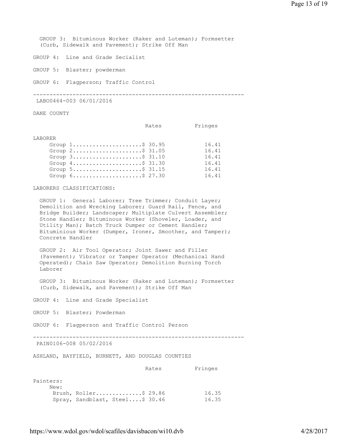GROUP 3: Bituminous Worker (Raker and Luteman); Formsetter (Curb, Sidewalk and Pavement); Strike Off Man

GROUP 4: Line and Grade Secialist

GROUP 5: Blaster; powderman

GROUP 6: Flagperson; Traffic Control

----------------------------------------------------------------

LABO0464-003 06/01/2016

DANE COUNTY

Rates Fringes

#### LABORER

| Group $1, \ldots, \ldots, \ldots, \ldots, \$ 30.95                 | 16.41 |
|--------------------------------------------------------------------|-------|
| Group $2 \ldots \ldots \ldots \ldots \ldots \ldots$ . \$ 31.05     | 16.41 |
| Group $3 \ldots \ldots \ldots \ldots \ldots \ldots$ . \$ 31.10     | 16.41 |
| Group $4 \ldots \ldots \ldots \ldots \ldots \ldots$ . \$ 31.30     | 16.41 |
| Group $5 \ldots \ldots \ldots \ldots \ldots \ldots \text{.} 31.15$ | 16.41 |
| Group $6 \ldots \ldots \ldots \ldots \ldots \ldots$ . \$ 27.30     | 16.41 |

#### LABORERS CLASSIFICATIONS:

 GROUP 1: General Laborer; Tree Trimmer; Conduit Layer; Demolition and Wrecking Laborer; Guard Rail, Fence, and Bridge Builder; Landscaper; Multiplate Culvert Assembler; Stone Handler; Bituminous Worker (Shoveler, Loader, and Utility Man); Batch Truck Dumper or Cement Handler; Bituminious Worker (Dumper, Ironer, Smoother, and Tamper); Concrete Handler

 GROUP 2: Air Tool Operator; Joint Sawer and Filler (Pavement); Vibrator or Tamper Operator (Mechanical Hand Operated); Chain Saw Operator; Demolition Burning Torch Laborer

 GROUP 3: Bituminous Worker (Raker and Luteman); Formsetter (Curb, Sidewalk, and Pavement); Strike Off Man

GROUP 4: Line and Grade Specialist

GROUP 5: Blaster; Powderman

GROUP 6: Flagperson and Traffic Control Person

----------------------------------------------------------------

PAIN0106-008 05/02/2016

ASHLAND, BAYFIELD, BURNETT, AND DOUGLAS COUNTIES

Rates Fringes

| Painters: |                                 |       |
|-----------|---------------------------------|-------|
| New:      |                                 |       |
|           | Brush, Roller\$ 29.86           | 16.35 |
|           | Spray, Sandblast, Steel\$ 30.46 | 16.35 |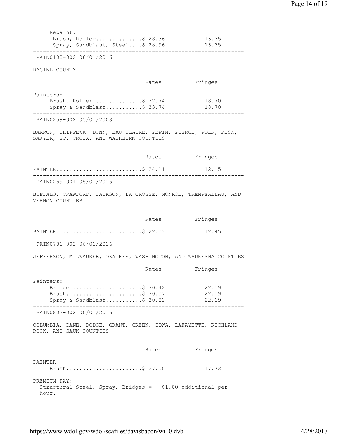| Repaint:<br>Brush, Roller\$ 28.36<br>Spray, Sandblast, Steel\$ 28.96                                       |       | 16.35<br>16.35          |
|------------------------------------------------------------------------------------------------------------|-------|-------------------------|
| PAIN0108-002 06/01/2016                                                                                    |       |                         |
| RACINE COUNTY                                                                                              |       |                         |
|                                                                                                            |       | Rates Fringes           |
| Painters:<br>Brush, Roller\$ 32.74<br>Spray & Sandblast\$ 33.74                                            |       | 18.70<br>18.70          |
| PAIN0259-002 05/01/2008                                                                                    |       |                         |
| BARRON, CHIPPEWA, DUNN, EAU CLAIRE, PEPIN, PIERCE, POLK, RUSK,<br>SAWYER, ST. CROIX, AND WASHBURN COUNTIES |       |                         |
|                                                                                                            |       | Rates Fringes           |
| PAINTER\$ 24.11                                                                                            |       | 12.15                   |
| PAIN0259-004 05/01/2015                                                                                    |       |                         |
| BUFFALO, CRAWFORD, JACKSON, LA CROSSE, MONROE, TREMPEALEAU, AND<br>VERNON COUNTIES                         |       |                         |
|                                                                                                            |       | Rates Fringes           |
| PAINTER\$ 22.03                                                                                            |       | 12.45                   |
| PAIN0781-002 06/01/2016                                                                                    |       |                         |
| JEFFERSON, MILWAUKEE, OZAUKEE, WASHINGTON, AND WAUKESHA COUNTIES                                           |       |                         |
|                                                                                                            | Rates | Fringes                 |
| Painters:<br>Bridge\$ 30.42<br>Brush\$ 30.07<br>Spray & Sandblast\$ 30.82                                  |       | 22.19<br>22.19<br>22.19 |
| ---------<br>PAIN0802-002 06/01/2016                                                                       |       |                         |
| COLUMBIA, DANE, DODGE, GRANT, GREEN, IOWA, LAFAYETTE, RICHLAND,<br>ROCK, AND SAUK COUNTIES                 |       |                         |
|                                                                                                            | Rates | Fringes                 |
| PAINTER<br>Brush\$ 27.50                                                                                   |       | 17.72                   |
| PREMIUM PAY:<br>Structural Steel, Spray, Bridges = \$1.00 additional per<br>hour.                          |       |                         |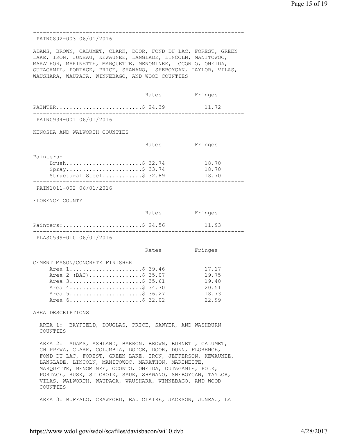Page 15 of 19

| WAUSHARA, WAUPACA, WINNEBAGO, AND WOOD COUNTIES                                                                | ADAMS, BROWN, CALUMET, CLARK, DOOR, FOND DU LAC, FOREST, GREEN<br>LAKE, IRON, JUNEAU, KEWAUNEE, LANGLADE, LINCOLN, MANITOWOC,<br>MARATHON, MARINETTE, MARQUETTE, MENOMINEE, OCONTO, ONEIDA,<br>OUTAGAMIE, PORTAGE, PRICE, SHAWANO, SHEBOYGAN, TAYLOR, VILAS,                                                |
|----------------------------------------------------------------------------------------------------------------|-------------------------------------------------------------------------------------------------------------------------------------------------------------------------------------------------------------------------------------------------------------------------------------------------------------|
| Rates                                                                                                          | Fringes                                                                                                                                                                                                                                                                                                     |
| PAINTER\$ 24.39                                                                                                | 11.72                                                                                                                                                                                                                                                                                                       |
|                                                                                                                |                                                                                                                                                                                                                                                                                                             |
|                                                                                                                |                                                                                                                                                                                                                                                                                                             |
| Rates                                                                                                          | Fringes                                                                                                                                                                                                                                                                                                     |
| Brush\$ 32.74<br>$Spray$ \$ 33.74<br>Structural Steel\$ 32.89                                                  | 18.70<br>18.70<br>18.70                                                                                                                                                                                                                                                                                     |
|                                                                                                                |                                                                                                                                                                                                                                                                                                             |
|                                                                                                                |                                                                                                                                                                                                                                                                                                             |
| Rates                                                                                                          | Fringes                                                                                                                                                                                                                                                                                                     |
| Painters:\$ 24.56                                                                                              | 11.93                                                                                                                                                                                                                                                                                                       |
|                                                                                                                |                                                                                                                                                                                                                                                                                                             |
| Rates                                                                                                          | Fringes                                                                                                                                                                                                                                                                                                     |
| Area 1\$ 39.46<br>Area 2 (BAC)\$ 35.07<br>Area 3\$ 35.61<br>Area 4\$ 34.70<br>Area 5\$ 36.27<br>Area 6\$ 32.02 | 17.17<br>19.75<br>19.40<br>20.51<br>18.73<br>22.99                                                                                                                                                                                                                                                          |
|                                                                                                                |                                                                                                                                                                                                                                                                                                             |
|                                                                                                                | AREA 1: BAYFIELD, DOUGLAS, PRICE, SAWYER, AND WASHBURN                                                                                                                                                                                                                                                      |
| LANGLADE, LINCOLN, MANITOWOC, MARATHON, MARINETTE,<br>MARQUETTE, MENOMINEE, OCONTO, ONEIDA, OUTAGAMIE, POLK,   | AREA 2: ADAMS, ASHLAND, BARRON, BROWN, BURNETT, CALUMET,<br>CHIPPEWA, CLARK, COLUMBIA, DODGE, DOOR, DUNN, FLORENCE,<br>FOND DU LAC, FOREST, GREEN LAKE, IRON, JEFFERSON, KEWAUNEE,<br>PORTAGE, RUSK, ST CROIX, SAUK, SHAWANO, SHEBOYGAN, TAYLOR,<br>VILAS, WALWORTH, WAUPACA, WAUSHARA, WINNEBAGO, AND WOOD |
|                                                                                                                |                                                                                                                                                                                                                                                                                                             |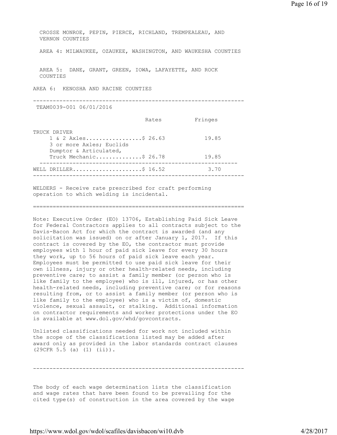| CROSSE MONROE, PEPIN, PIERCE, RICHLAND, TREMPEALEAU, AND<br>VERNON COUNTIES                                                                                                                                                                                                               |       |         |       |  |
|-------------------------------------------------------------------------------------------------------------------------------------------------------------------------------------------------------------------------------------------------------------------------------------------|-------|---------|-------|--|
| AREA 4: MILWAUKEE, OZAUKEE, WASHINGTON, AND WAUKESHA COUNTIES                                                                                                                                                                                                                             |       |         |       |  |
| AREA 5: DANE, GRANT, GREEN, IOWA, LAFAYETTE, AND ROCK<br>COUNTIES                                                                                                                                                                                                                         |       |         |       |  |
| AREA 6: KENOSHA AND RACINE COUNTIES                                                                                                                                                                                                                                                       |       |         |       |  |
| TEAM0039-001 06/01/2016                                                                                                                                                                                                                                                                   |       |         |       |  |
|                                                                                                                                                                                                                                                                                           | Rates | Fringes |       |  |
| TRUCK DRIVER                                                                                                                                                                                                                                                                              |       |         |       |  |
| 1 & 2 Axles\$ 26.63<br>3 or more Axles; Euclids<br>Dumptor & Articulated,                                                                                                                                                                                                                 |       | 19.85   |       |  |
| Truck Mechanic\$ 26.78                                                                                                                                                                                                                                                                    |       |         | 19.85 |  |
| WELL DRILLER\$ 16.52                                                                                                                                                                                                                                                                      |       |         | 3.70  |  |
| WELDERS - Receive rate prescribed for craft performing<br>$\sim$ . The state of the state of the state of the state of the state of the state of the state of the state of the state of the state of the state of the state of the state of the state of the state of the state of the st |       |         |       |  |

operation to which welding is incidental.

================================================================

Note: Executive Order (EO) 13706, Establishing Paid Sick Leave for Federal Contractors applies to all contracts subject to the Davis-Bacon Act for which the contract is awarded (and any solicitation was issued) on or after January 1, 2017. If this contract is covered by the EO, the contractor must provide employees with 1 hour of paid sick leave for every 30 hours they work, up to 56 hours of paid sick leave each year. Employees must be permitted to use paid sick leave for their own illness, injury or other health-related needs, including preventive care; to assist a family member (or person who is like family to the employee) who is ill, injured, or has other health-related needs, including preventive care; or for reasons resulting from, or to assist a family member (or person who is like family to the employee) who is a victim of, domestic violence, sexual assault, or stalking. Additional information on contractor requirements and worker protections under the EO is available at www.dol.gov/whd/govcontracts.

Unlisted classifications needed for work not included within the scope of the classifications listed may be added after award only as provided in the labor standards contract clauses (29CFR 5.5 (a) (1) (ii)).

----------------------------------------------------------------

The body of each wage determination lists the classification and wage rates that have been found to be prevailing for the cited type(s) of construction in the area covered by the wage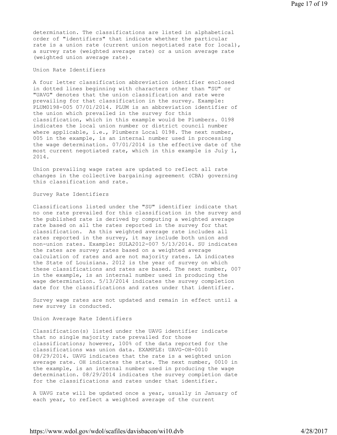determination. The classifications are listed in alphabetical order of "identifiers" that indicate whether the particular rate is a union rate (current union negotiated rate for local), a survey rate (weighted average rate) or a union average rate (weighted union average rate).

## Union Rate Identifiers

A four letter classification abbreviation identifier enclosed in dotted lines beginning with characters other than "SU" or "UAVG" denotes that the union classification and rate were prevailing for that classification in the survey. Example: PLUM0198-005 07/01/2014. PLUM is an abbreviation identifier of the union which prevailed in the survey for this classification, which in this example would be Plumbers. 0198 indicates the local union number or district council number where applicable, i.e., Plumbers Local 0198. The next number, 005 in the example, is an internal number used in processing the wage determination. 07/01/2014 is the effective date of the most current negotiated rate, which in this example is July 1, 2014.

Union prevailing wage rates are updated to reflect all rate changes in the collective bargaining agreement (CBA) governing this classification and rate.

Survey Rate Identifiers

Classifications listed under the "SU" identifier indicate that no one rate prevailed for this classification in the survey and the published rate is derived by computing a weighted average rate based on all the rates reported in the survey for that classification. As this weighted average rate includes all rates reported in the survey, it may include both union and non-union rates. Example: SULA2012-007 5/13/2014. SU indicates the rates are survey rates based on a weighted average calculation of rates and are not majority rates. LA indicates the State of Louisiana. 2012 is the year of survey on which these classifications and rates are based. The next number, 007 in the example, is an internal number used in producing the wage determination. 5/13/2014 indicates the survey completion date for the classifications and rates under that identifier.

Survey wage rates are not updated and remain in effect until a new survey is conducted.

Union Average Rate Identifiers

Classification(s) listed under the UAVG identifier indicate that no single majority rate prevailed for those classifications; however, 100% of the data reported for the classifications was union data. EXAMPLE: UAVG-OH-0010 08/29/2014. UAVG indicates that the rate is a weighted union average rate. OH indicates the state. The next number, 0010 in the example, is an internal number used in producing the wage determination. 08/29/2014 indicates the survey completion date for the classifications and rates under that identifier.

A UAVG rate will be updated once a year, usually in January of each year, to reflect a weighted average of the current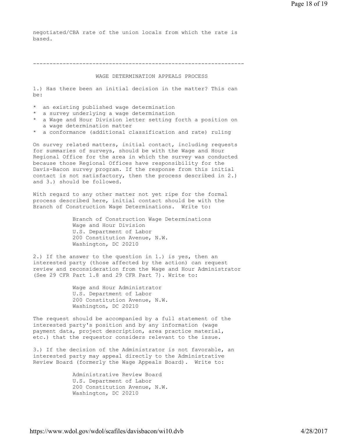negotiated/CBA rate of the union locals from which the rate is based.

----------------------------------------------------------------

## WAGE DETERMINATION APPEALS PROCESS

1.) Has there been an initial decision in the matter? This can be:

- \* an existing published wage determination
- \* a survey underlying a wage determination
- \* a Wage and Hour Division letter setting forth a position on a wage determination matter
- \* a conformance (additional classification and rate) ruling

On survey related matters, initial contact, including requests for summaries of surveys, should be with the Wage and Hour Regional Office for the area in which the survey was conducted because those Regional Offices have responsibility for the Davis-Bacon survey program. If the response from this initial contact is not satisfactory, then the process described in 2.) and 3.) should be followed.

With regard to any other matter not yet ripe for the formal process described here, initial contact should be with the Branch of Construction Wage Determinations. Write to:

> Branch of Construction Wage Determinations Wage and Hour Division U.S. Department of Labor 200 Constitution Avenue, N.W. Washington, DC 20210

2.) If the answer to the question in 1.) is yes, then an interested party (those affected by the action) can request review and reconsideration from the Wage and Hour Administrator (See 29 CFR Part 1.8 and 29 CFR Part 7). Write to:

> Wage and Hour Administrator U.S. Department of Labor 200 Constitution Avenue, N.W. Washington, DC 20210

The request should be accompanied by a full statement of the interested party's position and by any information (wage payment data, project description, area practice material, etc.) that the requestor considers relevant to the issue.

3.) If the decision of the Administrator is not favorable, an interested party may appeal directly to the Administrative Review Board (formerly the Wage Appeals Board). Write to:

> Administrative Review Board U.S. Department of Labor 200 Constitution Avenue, N.W. Washington, DC 20210